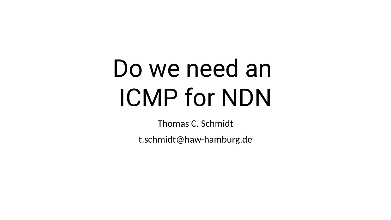# Do we need an ICMP for NDN

Thomas C. Schmidt

t.schmidt@haw-hamburg.de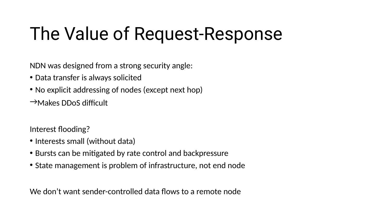# The Value of Request-Response

NDN was designed from a strong security angle:

- Data transfer is always solicited
- No explicit addressing of nodes (except next hop)
- →Makes DDoS difficult

Interest flooding?

- Interests small (without data)
- Bursts can be mitigated by rate control and backpressure
- State management is problem of infrastructure, not end node

We don't want sender-controlled data flows to a remote node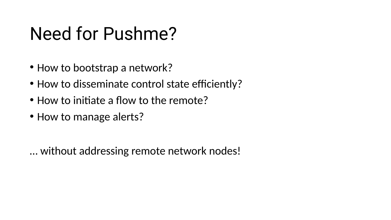### Need for Pushme?

- How to bootstrap a network?
- How to disseminate control state efficiently?
- How to initiate a flow to the remote?
- How to manage alerts?

… without addressing remote network nodes!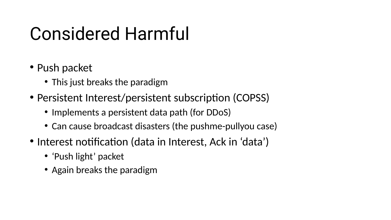## Considered Harmful

- Push packet
	- This just breaks the paradigm
- Persistent Interest/persistent subscription (COPSS)
	- Implements a persistent data path (for DDoS)
	- Can cause broadcast disasters (the pushme-pullyou case)
- Interest notification (data in Interest, Ack in 'data')
	- 'Push light' packet
	- Again breaks the paradigm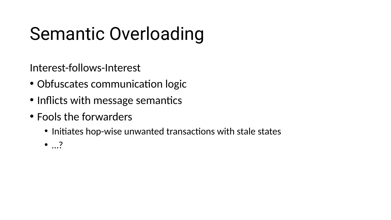# Semantic Overloading

Interest-follows-Interest

- Obfuscates communication logic
- Inflicts with message semantics
- Fools the forwarders
	- Initiates hop-wise unwanted transactions with stale states
	- …?